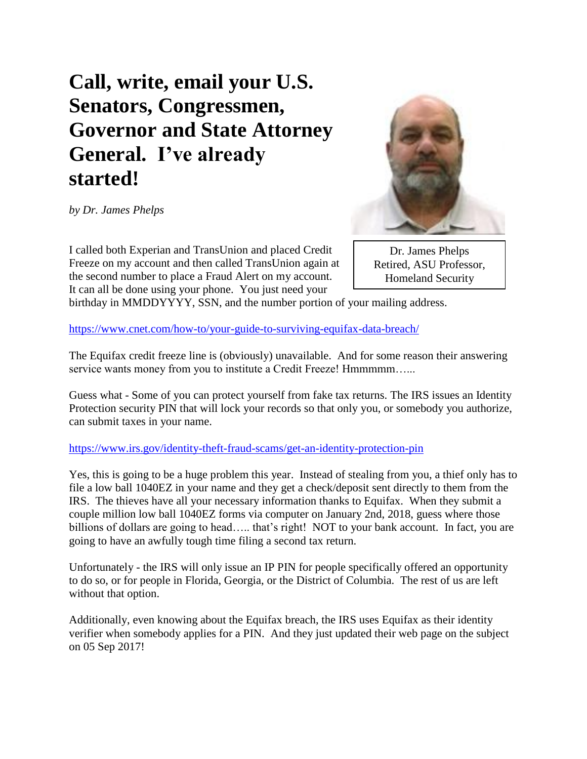## **Call, write, email your U.S. Senators, Congressmen, Governor and State Attorney General. I've already started!**

*by Dr. James Phelps*

I called both Experian and TransUnion and placed Credit Freeze on my account and then called TransUnion again at the second number to place a Fraud Alert on my account. It can all be done using your phone. You just need your

Dr. James Phelps Retired, ASU Professor, Homeland Security

birthday in MMDDYYYY, SSN, and the number portion of your mailing address.

<https://www.cnet.com/how-to/your-guide-to-surviving-equifax-data-breach/>

The Equifax credit freeze line is (obviously) unavailable. And for some reason their answering service wants money from you to institute a Credit Freeze! Hmmmmm......

Guess what - Some of you can protect yourself from fake tax returns. The IRS issues an Identity Protection security PIN that will lock your records so that only you, or somebody you authorize, can submit taxes in your name.

<https://www.irs.gov/identity-theft-fraud-scams/get-an-identity-protection-pin>

Yes, this is going to be a huge problem this year. Instead of stealing from you, a thief only has to file a low ball 1040EZ in your name and they get a check/deposit sent directly to them from the IRS. The thieves have all your necessary information thanks to Equifax. When they submit a couple million low ball 1040EZ forms via computer on January 2nd, 2018, guess where those billions of dollars are going to head..... that's right! NOT to your bank account. In fact, you are going to have an awfully tough time filing a second tax return.

Unfortunately - the IRS will only issue an IP PIN for people specifically offered an opportunity to do so, or for people in Florida, Georgia, or the District of Columbia. The rest of us are left without that option.

Additionally, even knowing about the Equifax breach, the IRS uses Equifax as their identity verifier when somebody applies for a PIN. And they just updated their web page on the subject on 05 Sep 2017!